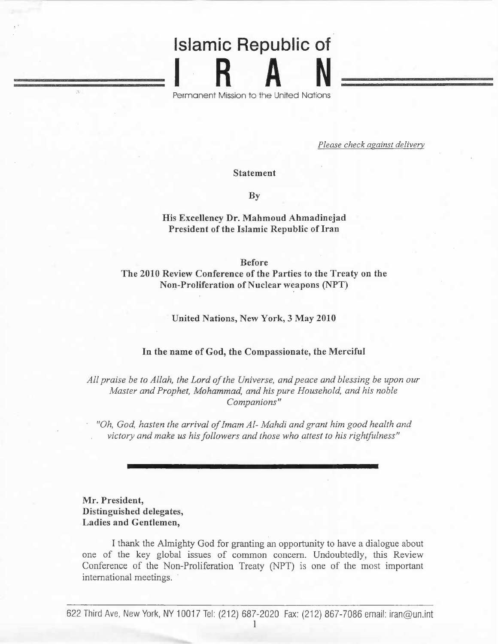# Islamic Republic of IRA N

Permanen t Mission to the United Nation s

*Please check against delivery*

**Statement**

**By**

## **His Excellency Dr. Mahmoud Ahmadinejad President of the Islamic Republic of Iran**

**Before**

**The 2010 Review Conference of the Parties to the Treaty on the Non-Proliferation of Nuclear weapons (NPT)**

**United Nations, New York, 3 May 2010**

## **In the name of God, the Compassionate, the Merciful**

*All praise be to Allah, the Lord of the Universe, and peace and blessing be upon our Master and Prophet, Mohammad, and his pure Household, and his noble Companions"*

*"Oh, God, hasten the arrival of Imam Al- Mahdi and grant him good health and victory and make us his followers and those who attest to his rightfulness"*

# **Mr. President, Distinguished delegates, Ladies and Gentlemen,**

I thank the Almighty God for granting an opportunity to have a dialogue about one of the key global issues of common concern. Undoubtedly, this Review Conference of the Non-Proliferation Treaty (NPT) is one of the most important international meetings.

622 Third Ave, New York, NY 10017 Tel: (212) 687-2020 Fax: (212) 867-7086 email: iran@un.int

1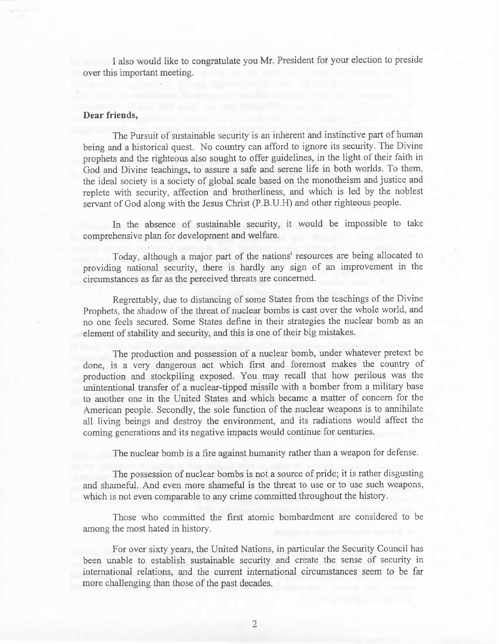I also would like to congratulate you Mr. President for your election to preside over this important meeting.

## **Dear friends,**

The Pursuit of sustainable security is an inherent and instinctive part of human being and a historical quest. No country can afford to ignore its security. The Divine prophets and the righteous also sought to offer guidelines, in the light of their faith in God and Divine teachings, to assure a safe and serene life in both worlds. To them, the ideal society is a society of global scale based on the monotheism and justice and replete with security, affection and brotherliness, and which is led by the noblest servant of God along with the Jesus Christ (P.B.U.H) and other righteous people.

In the absence of sustainable security, it would be impossible to take comprehensive plan for development and welfare.

Today, although a major part of the nations' resources are being allocated to providing national security, there is hardly any sign of an improvement in the circumstances as far as the perceived threats are concerned.

Regrettably, due to distancing of some States from the teachings of the Divine Prophets, the shadow of the threat of nuclear bombs is cast over the whole world, and no one feels secured. Some States define in their strategies the nuclear bomb as an element of stability and security, and this is one of their big mistakes.

The production and possession of a nuclear bomb, under whatever pretext be done, is a very dangerous act which first and foremost makes the country of production and stockpiling exposed. You may recall that how perilous was the unintentional transfer of a nuclear-tipped missile with a bomber from a military base to another one in the United States and which became a matter of concern for the American people. Secondly, the sole function of the nuclear weapons is to annihilate all living beings and destroy the environment, and its radiations would affect the coming generations and its negative impacts would continue for centuries.

The nuclear bomb is a fire against humanity rather than a weapon for defense.

The possession of nuclear bombs is not a source of pride; it is rather disgusting and shameful. And even more shameful is the threat to use or to use such weapons, which is not even comparable to any crime committed throughout the history.

Those who committed the first atomic bombardment are considered to be among the most hated in history.

For over sixty years, the United Nations, in particular the Security Council has been unable to establish sustainable security and create the sense of security in international relations, and the current international circumstances seem to be far more challenging than those of the past decades.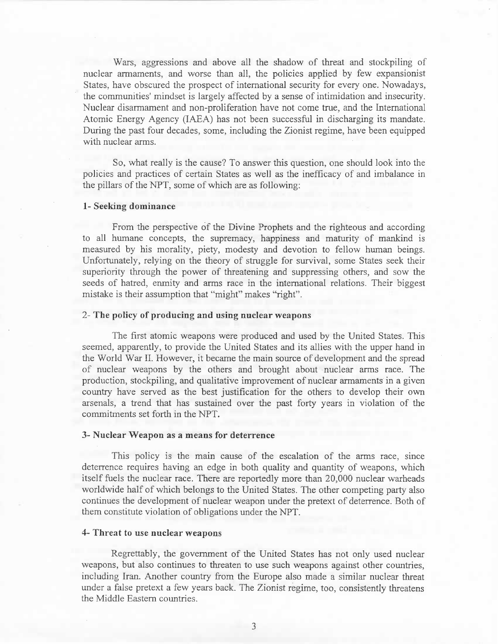Wars, aggressions and above all the shadow of threat and stockpiling of nuclear armaments, and worse than all, the policies applied by few expansionist States, have obscured the prospect of international security for every one. Nowadays, the communities' mindset is largely affected by a sense of intimidation and insecurity. Nuclear disarmament and non-proliferation have not come true, and the International Atomic Energy Agency (IAEA) has not been successful in discharging its mandate. During the past four decades, some, including the Zionist regime, have been equipped with nuclear arms.

So, what really is the cause? To answer this question, one should look into the policies and practices of certain States as well as the inefficacy of and imbalance in the pillars of the NPT, some of which are as following:

#### **1- Seeking dominance**

From the perspective of the Divine Prophets and the righteous and according to all humane concepts, the supremacy, happiness and maturity of mankind is measured by his morality, piety, modesty and devotion to fellow human beings. Unfortunately, relying on the theory of struggle for survival, some States seek their superiority through the power of threatening and suppressing others, and sow the seeds of hatred, enmity and arms race in the international relations. Their biggest mistake is their assumption that "might" makes "right".

## **2- The policy of producing and using nuclear weapons**

The first atomic weapons were produced and used by the United States. This seemed, apparently, to provide the United States and its allies with the upper hand in the World War II. However, it became the main source of development and the spread of nuclear weapons by the others and brought about nuclear arms race. The production, stockpiling, and qualitative improvement of nuclear armaments in a given country have served as the best justification for the others to develop their own arsenals, a trend that has sustained over the past forty years in violation of the commitments set forth in the NPT.

#### **3- Nuclear Weapon as a means for deterrence**

This policy is the main cause of the escalation of the arms race, since deterrence requires having an edge in both quality and quantity of weapons, which itself fuels the nuclear race. There are reportedly more than 20,000 nuclear warheads worldwide half of which belongs to the United States. The other competing party also continues the development of nuclear weapon under the pretext of deterrence. Both of them constitute violation of obligations under the NPT.

## **4- Threat to use nuclear weapons**

Regrettably, the government of the United States has not only used nuclear weapons, but also continues to threaten to use such weapons against other countries, including Iran. Another country from the Europe also made a similar nuclear threat under a false pretext a few years back. The Zionist regime, too, consistently threatens the Middle Eastern countries.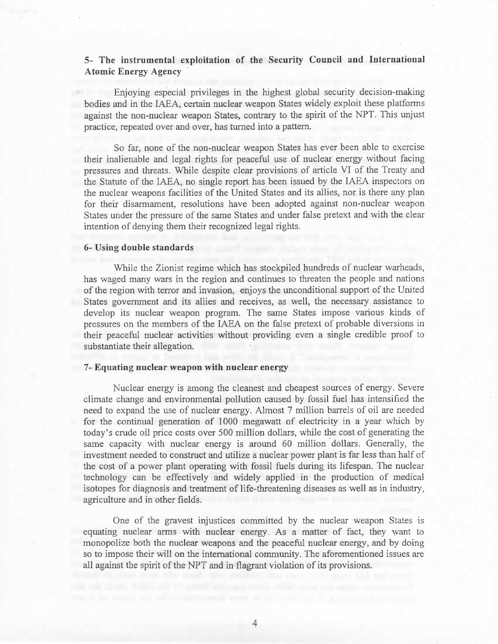# **5- The instrumental exploitation of the Security Council and International Atomic Energy Agency**

Enjoying especial privileges in the highest global security decision-making bodies and in the IAEA, certain nuclear weapon States widely exploit these platforms against the non-nuclear weapon States, contrary to the spirit of the NPT. This unjust practice, repeated over and over, has turned into a pattern.

So far, none of the non-nuclear weapon States has ever been able to exercise their inalienable and legal rights for peaceful use of nuclear energy without facing pressures and threats. While despite clear provisions of article VI of the Treaty and the Statute of the IAEA, no single report has been issued by the IAEA inspectors on the nuclear weapons facilities of the United States and its allies, nor is there any plan for their disarmament, resolutions have been adopted against non-nuclear weapon States under the pressure of the same States and under false pretext and with the clear intention of denying them their recognized legal rights.

#### **6- Using double standards**

While the Zionist regime which has stockpiled hundreds of nuclear warheads, has waged many wars in the region and continues to threaten the people and nations of the region with terror and invasion, enjoys the unconditional support of the United States government and its allies and receives, as well, the necessary assistance to develop its nuclear weapon program. The same States impose various kinds of pressures on the members of the IAEA on the false pretext of probable diversions in their peaceful nuclear activities without providing even a single credible proof to substantiate their allegation.

#### **7- Equating nuclear weapon with nuclear energy**

Nuclear energy is among the cleanest and cheapest sources of energy. Severe climate change and environmental pollution caused by fossil fuel has intensified the need to expand the use of nuclear energy. Almost 7 million barrels of oil are needed for the continual generation of 1000 megawatt of electricity in a year which by today's crude oil price costs over 500 million dollars, while the cost of generating the same capacity with nuclear energy is around 60 million dollars. Generally, the investment needed to construct and utilize a nuclear power plant is far less than half of the cost of a power plant operating with fossil fuels during its lifespan. The nuclear technology can be effectively and widely applied in the production of medical isotopes for diagnosis and treatment of life-threatening diseases as well as in industry, agriculture and in other fields.

One of the gravest injustices committed by the nuclear weapon States is equating nuclear arms with nuclear energy. As a matter of fact, they want to monopolize both the nuclear weapons and the peaceful nuclear energy, and by doing so to impose their will on the international community. The aforementioned issues are all against the spirit of the NPT and in flagrant violation of its provisions.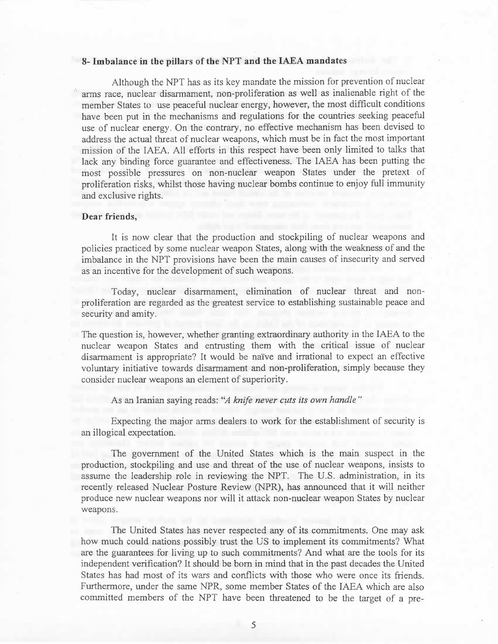### **8- Imbalance in the pillars of the NPT and the IAEA mandates**

Although the NPT has as its key mandate the mission for prevention of nuclear arms race, nuclear disarmament, non-proliferation as well as inalienable right of the member States to use peaceful nuclear energy, however, the most difficult conditions have been put in the mechanisms and regulations for the countries seeking peaceful use of nuclear energy. On the contrary, no effective mechanism has been devised to address the actual threat of nuclear weapons, which must be in fact the most important mission of the IAEA. All efforts in this respect have been only limited to talks that lack any binding force guarantee and effectiveness. The IAEA has been putting the most possible pressures on non-nuclear weapon States under the pretext of proliferation risks, whilst those having nuclear bombs continue to enjoy full immunity and exclusive rights.

#### **Dear friends,**

It is now clear that the production and stockpiling of nuclear weapons and policies practiced by some nuclear weapon States, along with the weakness of and the imbalance in the NPT provisions have been the main causes of insecurity and served as an incentive for the development of such weapons.

Today, nuclear disarmament, elimination of nuclear threat and nonproliferation are regarded as the greatest service to establishing sustainable peace and security and amity.

The question is, however, whether granting extraordinary authority in the IAEA to the nuclear weapon States and entrusting them with the critical issue of nuclear disarmament is appropriate? It would be nai've and irrational to expect an effective voluntary initiative towards disarmament and non-proliferation, simply because they consider nuclear weapons an element of superiority.

## As an Iranian saying reads: *"A knife never cuts its own handle "*

Expecting the major arms dealers to work for the establishment of security is an illogical expectation.

The government of the United States which is the main suspect in the production, stockpiling and use and threat of the use of nuclear weapons, insists to assume the leadership role in reviewing the NPT. The U.S. administration, in its recently released Nuclear Posture Review (NPR), has announced that it will neither produce new nuclear weapons nor will it attack non-nuclear weapon States by nuclear weapons.

The United States has never respected any of its commitments. One may ask how much could nations possibly trust the US to implement its commitments? What are the guarantees for living up to such commitments? And what are the tools for its independent verification? It should be born in mind that in the past decades the United States has had most of its wars and conflicts with those who were once its friends. Furthermore, under the same NPR, some member States of the IAEA which are also committed members of the NPT have been threatened to be the target of a pre-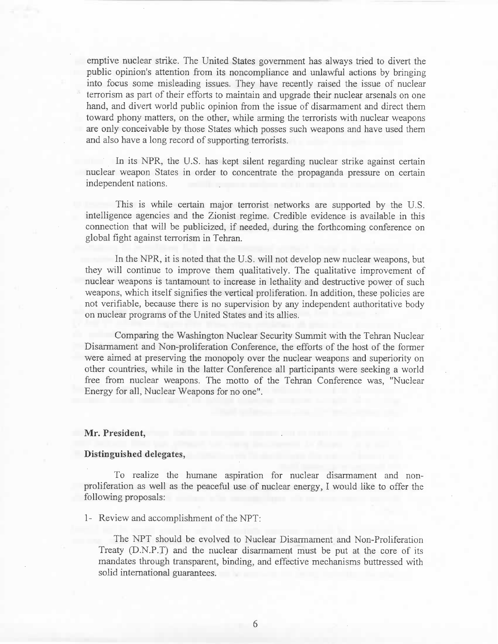emptive nuclear strike. The United States government has always tried to divert the public opinion's attention from its noncompliance and unlawful actions by bringing into focus some misleading issues. They have recently raised the issue of nuclear terrorism as part of their efforts to maintain and upgrade their nuclear arsenals on one hand, and divert world public opinion from the issue of disarmament and direct them toward phony matters, on the other, while arming the terrorists with nuclear weapons are only conceivable by those States which posses such weapons and have used them and also have a long record of supporting terrorists.

In its NPR, the U.S. has kept silent regarding nuclear strike against certain nuclear weapon States in order to concentrate the propaganda pressure on certain independent nations.

This is while certain major terrorist networks are supported by the U.S. intelligence agencies and the Zionist regime. Credible evidence is available in this connection that will be publicized, if needed, during the forthcoming conference on global fight against terrorism in Tehran.

In the NPR, it is noted that the U.S. will not develop new nuclear weapons, but they will continue to improve them qualitatively. The qualitative improvement of nuclear weapons is tantamount to increase in lethality and destructive power of such weapons, which itself signifies the vertical proliferation. In addition, these policies are not verifiable, because there is no supervision by any independent authoritative body on nuclear programs of the United States and its allies.

Comparing the Washington Nuclear Security Summit with the Tehran Nuclear Disarmament and Non-proliferation Conference, the efforts of the host of the former were aimed at preserving the monopoly over the nuclear weapons and superiority on other countries, while in the latter Conference all participants were seeking a world free from nuclear weapons. The motto of the Tehran Conference was, "Nuclear Energy for all, Nuclear Weapons for no one".

#### **Mr. President,**

#### **Distinguished delegates,**

To realize the humane aspiration for nuclear disarmament and nonproliferation as well as the peaceful use of nuclear energy, I would like to offer the following proposals:

1- Review and accomplishment of the NPT:

The NPT should be evolved to Nuclear Disarmament and Non-Proliferation Treaty (D.N.P.T) and the nuclear disarmament must be put at the core of its mandates through transparent, binding, and effective mechanisms buttressed with solid international guarantees.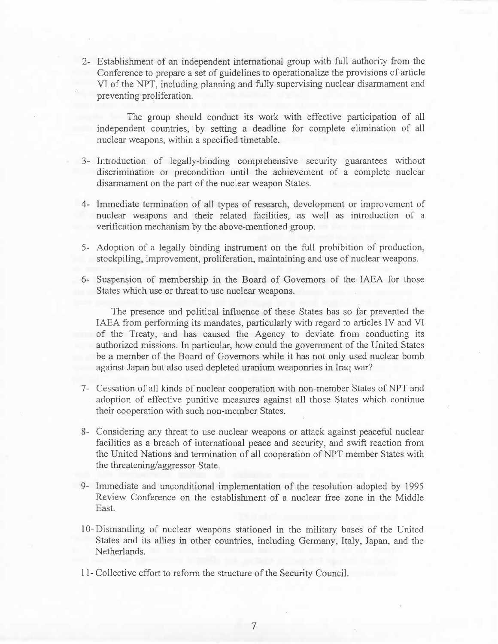2- Establishment of an independent international group with full authority from the Conference to prepare a set of guidelines to operationalize the provisions of article VI of the NPT, including planning and fully supervising nuclear disarmament and preventing proliferation.

The group should conduct its work with effective participation of all independent countries, by setting a deadline for complete elimination of all nuclear weapons, within a specified timetable.

- 3- Introduction of legally-binding comprehensive security guarantees without discrimination or precondition until the achievement of a complete nuclear disarmament on the part of the nuclear weapon States.
- 4- Immediate termination of all types of research, development or improvement of nuclear weapons and their related facilities, as well as introduction of a verification mechanism by the above-mentioned group.
- 5- Adoption of a legally binding instrument on the full prohibition of production, stockpiling, improvement, proliferation, maintaining and use of nuclear weapons.
- 6- Suspension of membership in the Board of Governors of the IAEA for those States which use or threat to use nuclear weapons.

The presence and political influence of these States has so far prevented the IAEA from performing its mandates, particularly with regard to articles IV and VI of the Treaty, and has caused the Agency to deviate from conducting its authorized missions. In particular, how could the government of the United States be a member of the Board of Governors while it has not only used nuclear bomb against Japan but also used depleted uranium weaponries in Iraq war?

- 7- Cessation of all kinds of nuclear cooperation with non-member States of NPT and adoption of effective punitive measures against all those States which continue their cooperation with such non-member States.
- 8- Considering any threat to use nuclear weapons or attack against peaceful nuclear facilities as a breach of international peace and security, and swift reaction from the United Nations and termination of all cooperation of NPT member States with the threatening/aggressor State.
- 9- Immediate and unconditional implementation of the resolution adopted by 1995 Review Conference on the establishment of a nuclear free zone in the Middle East.
- 10-Dismantling of nuclear weapons stationed in the military bases of the United States and its allies in other countries, including Germany, Italy, Japan, and the Netherlands.

11- Collective effort to reform the structure of the Security Council.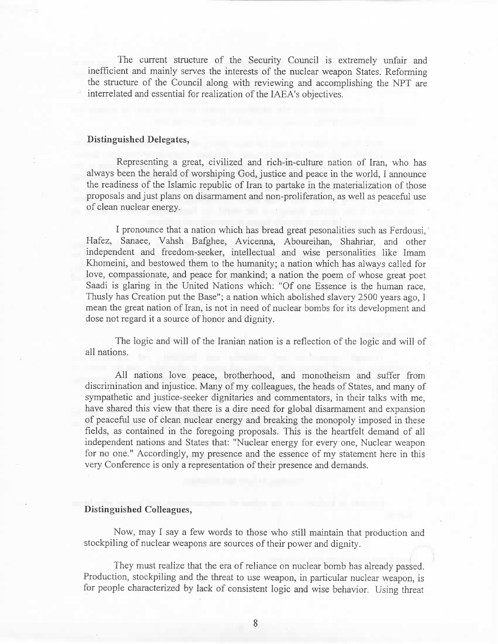The current structure of the Security Council is extremely unfair and inefficient and mainly serves the interests of the nuclear weapon States. Reforming the structure of the Council along with reviewing and accomplishing the NPT are interrelated and essential for realization of the IAEA's objectives.

## **Distinguished Delegates,**

• Representing a great, civilized and rich-in-culture nation of Iran, who has always been the herald of worshiping God, justice and peace in the world, I announce the readiness of the Islamic republic of Iran to partake in the materialization of those proposals and just plans on disarmament and non-proliferation, as well as peaceful use of clean nuclear energy.

I pronounce that a nation which has bread great pesonalities such as Ferdousi, Hafez, Sanaee, Vahsh Bafghee, Avicenna, Aboureihan, Shahriar, and other independent and freedom-seeker, intellectual and wise personalities like Imam Khomeini, and bestowed them to the humanity; a nation which has always called for love, compassionate, and peace for mankind; a nation the poem of whose great poet Saadi is glaring in the United Nations which: "Of one Essence is the human race, Thusly has Creation put the Base"; a nation which abolished slavery 2500 years ago, I mean the great nation of Iran, is not in need of nuclear bombs for its development and dose not regard it a source of honor and dignity.

The logic and will of the Iranian nation is a reflection of the logic and will of all nations.

All nations love peace, brotherhood, and monotheism and suffer from discrimination and injustice. Many of my colleagues, the heads of States, and many of sympathetic and justice-seeker dignitaries and commentators, in their talks with me, have shared this view that there is a dire need for global disarmament and expansion of peaceful use of clean nuclear energy and breaking the monopoly imposed in these fields, as contained in the foregoing proposals. This is the heartfelt demand of all independent nations and States that: "Nuclear energy for every one, Nuclear weapon for no one." Accordingly, my presence and the essence of my statement here in this very Conference is only a representation of their presence and demands.

## **Distinguished Colleagues,**

Now, may I say a few words to those who still maintain that production and stockpiling of nuclear weapons are sources of their power and dignity.

They must realize that the era of reliance on nuclear bomb has already passed. Production, stockpiling and the threat to use weapon, in particular nuclear weapon, is for people characterized by lack of consistent logic and wise behavior. Using threat